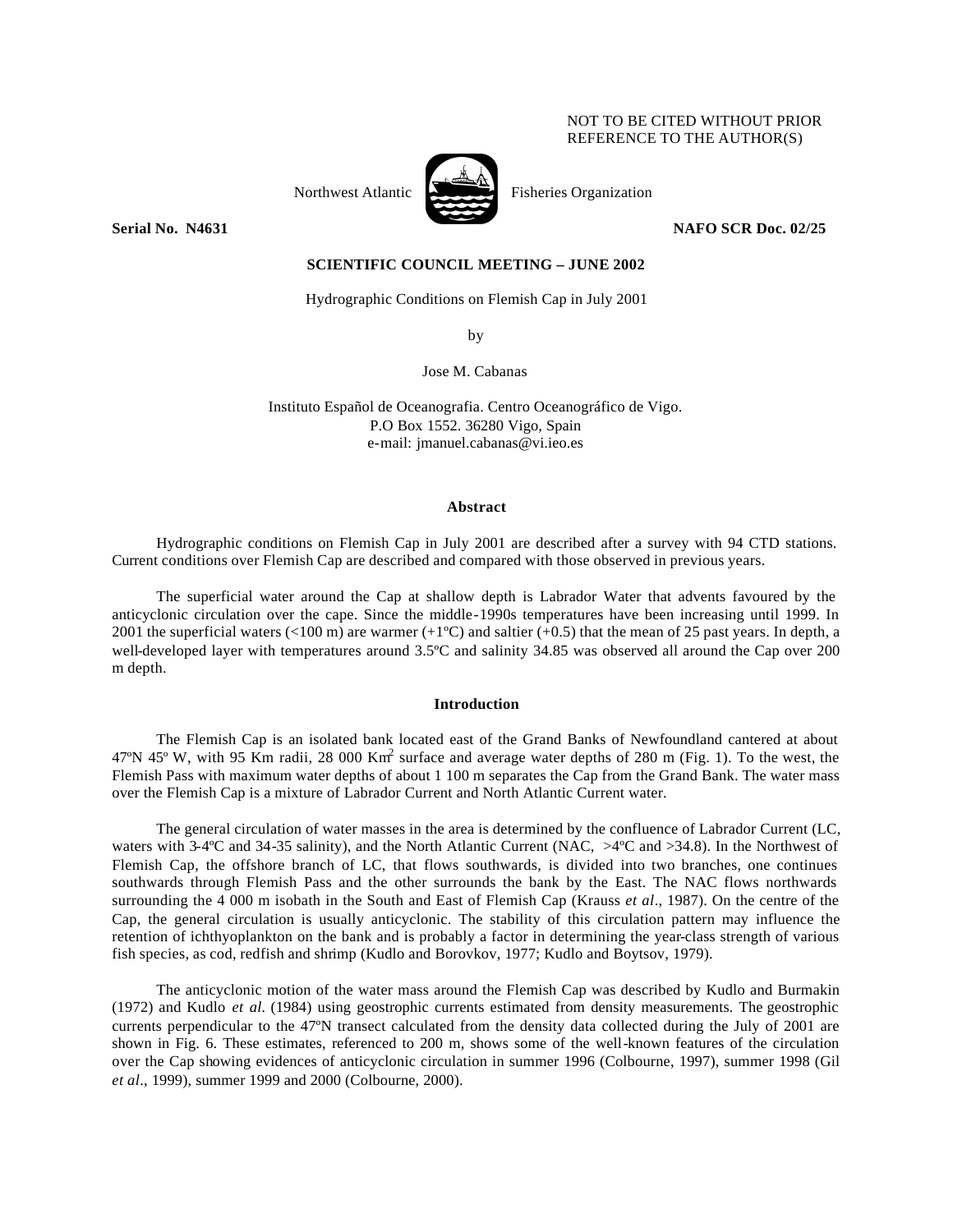## NOT TO BE CITED WITHOUT PRIOR REFERENCE TO THE AUTHOR(S)



Northwest Atlantic Fisheries Organization

**Serial No. N4631** NAFO SCR Doc. 02/25

# **SCIENTIFIC COUNCIL MEETING – JUNE 2002**

Hydrographic Conditions on Flemish Cap in July 2001

by

Jose M. Cabanas

Instituto Español de Oceanografia. Centro Oceanográfico de Vigo. P.O Box 1552. 36280 Vigo, Spain e-mail: jmanuel.cabanas@vi.ieo.es

### **Abstract**

Hydrographic conditions on Flemish Cap in July 2001 are described after a survey with 94 CTD stations. Current conditions over Flemish Cap are described and compared with those observed in previous years.

The superficial water around the Cap at shallow depth is Labrador Water that advents favoured by the anticyclonic circulation over the cape. Since the middle-1990s temperatures have been increasing until 1999. In 2001 the superficial waters  $\langle 100 \text{ m} \rangle$  are warmer  $(+1^{\circ}C)$  and saltier  $(+0.5)$  that the mean of 25 past years. In depth, a well-developed layer with temperatures around 3.5ºC and salinity 34.85 was observed all around the Cap over 200 m depth.

### **Introduction**

The Flemish Cap is an isolated bank located east of the Grand Banks of Newfoundland cantered at about 47°N 45° W, with 95 Km radii, 28 000 Km<sup>2</sup> surface and average water depths of 280 m (Fig. 1). To the west, the Flemish Pass with maximum water depths of about 1 100 m separates the Cap from the Grand Bank. The water mass over the Flemish Cap is a mixture of Labrador Current and North Atlantic Current water.

The general circulation of water masses in the area is determined by the confluence of Labrador Current (LC, waters with 3-4°C and 34-35 salinity), and the North Atlantic Current (NAC,  $>4$ °C and  $>34.8$ ). In the Northwest of Flemish Cap, the offshore branch of LC, that flows southwards, is divided into two branches, one continues southwards through Flemish Pass and the other surrounds the bank by the East. The NAC flows northwards surrounding the 4 000 m isobath in the South and East of Flemish Cap (Krauss *et al*., 1987). On the centre of the Cap, the general circulation is usually anticyclonic. The stability of this circulation pattern may influence the retention of ichthyoplankton on the bank and is probably a factor in determining the year-class strength of various fish species, as cod, redfish and shrimp (Kudlo and Borovkov, 1977; Kudlo and Boytsov, 1979).

The anticyclonic motion of the water mass around the Flemish Cap was described by Kudlo and Burmakin (1972) and Kudlo *et al.* (1984) using geostrophic currents estimated from density measurements. The geostrophic currents perpendicular to the 47ºN transect calculated from the density data collected during the July of 2001 are shown in Fig. 6. These estimates, referenced to 200 m, shows some of the well-known features of the circulation over the Cap showing evidences of anticyclonic circulation in summer 1996 (Colbourne, 1997), summer 1998 (Gil *et al*., 1999), summer 1999 and 2000 (Colbourne, 2000).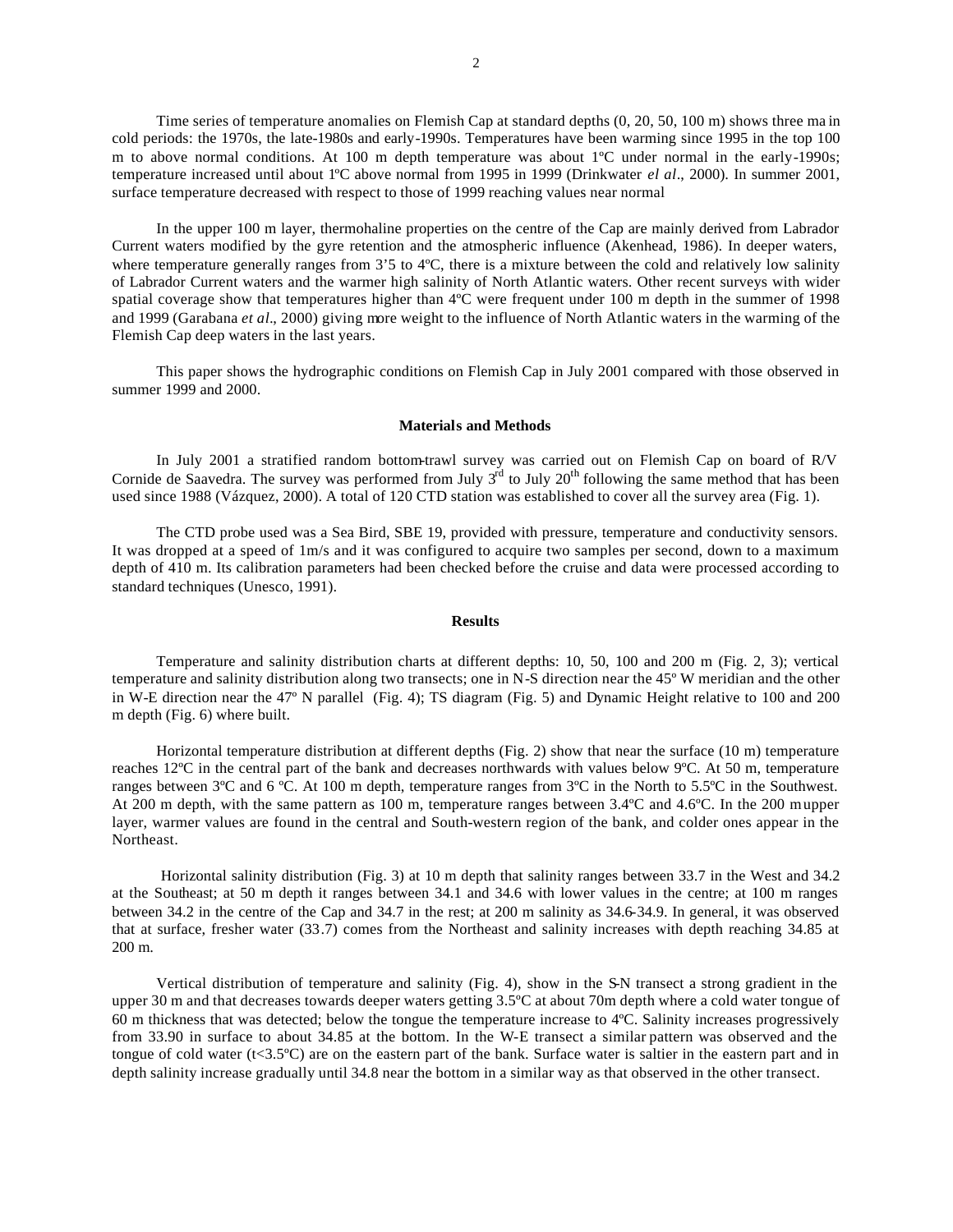Time series of temperature anomalies on Flemish Cap at standard depths (0, 20, 50, 100 m) shows three ma in cold periods: the 1970s, the late-1980s and early-1990s. Temperatures have been warming since 1995 in the top 100 m to above normal conditions. At 100 m depth temperature was about 1ºC under normal in the early-1990s; temperature increased until about 1ºC above normal from 1995 in 1999 (Drinkwater *el al*., 2000). In summer 2001, surface temperature decreased with respect to those of 1999 reaching values near normal

In the upper 100 m layer, thermohaline properties on the centre of the Cap are mainly derived from Labrador Current waters modified by the gyre retention and the atmospheric influence (Akenhead, 1986). In deeper waters, where temperature generally ranges from 3'5 to 4°C, there is a mixture between the cold and relatively low salinity of Labrador Current waters and the warmer high salinity of North Atlantic waters. Other recent surveys with wider spatial coverage show that temperatures higher than 4ºC were frequent under 100 m depth in the summer of 1998 and 1999 (Garabana *et al.*, 2000) giving more weight to the influence of North Atlantic waters in the warming of the Flemish Cap deep waters in the last years.

This paper shows the hydrographic conditions on Flemish Cap in July 2001 compared with those observed in summer 1999 and 2000.

#### **Materials and Methods**

In July 2001 a stratified random bottom-trawl survey was carried out on Flemish Cap on board of R/V Cornide de Saavedra. The survey was performed from July  $3^{rd}$  to July  $20^{th}$  following the same method that has been used since 1988 (Vázquez, 2000). A total of 120 CTD station was established to cover all the survey area (Fig. 1).

The CTD probe used was a Sea Bird, SBE 19, provided with pressure, temperature and conductivity sensors. It was dropped at a speed of 1m/s and it was configured to acquire two samples per second, down to a maximum depth of 410 m. Its calibration parameters had been checked before the cruise and data were processed according to standard techniques (Unesco, 1991).

### **Results**

Temperature and salinity distribution charts at different depths: 10, 50, 100 and 200 m (Fig. 2, 3); vertical temperature and salinity distribution along two transects; one in N-S direction near the 45º W meridian and the other in W-E direction near the 47º N parallel (Fig. 4); TS diagram (Fig. 5) and Dynamic Height relative to 100 and 200 m depth (Fig. 6) where built.

Horizontal temperature distribution at different depths (Fig. 2) show that near the surface (10 m) temperature reaches 12ºC in the central part of the bank and decreases northwards with values below 9ºC. At 50 m, temperature ranges between 3ºC and 6 ºC. At 100 m depth, temperature ranges from 3ºC in the North to 5.5ºC in the Southwest. At 200 m depth, with the same pattern as 100 m, temperature ranges between 3.4ºC and 4.6ºC. In the 200 m upper layer, warmer values are found in the central and South-western region of the bank, and colder ones appear in the Northeast.

 Horizontal salinity distribution (Fig. 3) at 10 m depth that salinity ranges between 33.7 in the West and 34.2 at the Southeast; at 50 m depth it ranges between 34.1 and 34.6 with lower values in the centre; at 100 m ranges between 34.2 in the centre of the Cap and 34.7 in the rest; at 200 m salinity as 34.6-34.9. In general, it was observed that at surface, fresher water (33.7) comes from the Northeast and salinity increases with depth reaching 34.85 at 200 m.

Vertical distribution of temperature and salinity (Fig. 4), show in the S-N transect a strong gradient in the upper 30 m and that decreases towards deeper waters getting 3.5ºC at about 70m depth where a cold water tongue of 60 m thickness that was detected; below the tongue the temperature increase to 4ºC. Salinity increases progressively from 33.90 in surface to about 34.85 at the bottom. In the W-E transect a similar pattern was observed and the tongue of cold water (t<3.5ºC) are on the eastern part of the bank. Surface water is saltier in the eastern part and in depth salinity increase gradually until 34.8 near the bottom in a similar way as that observed in the other transect.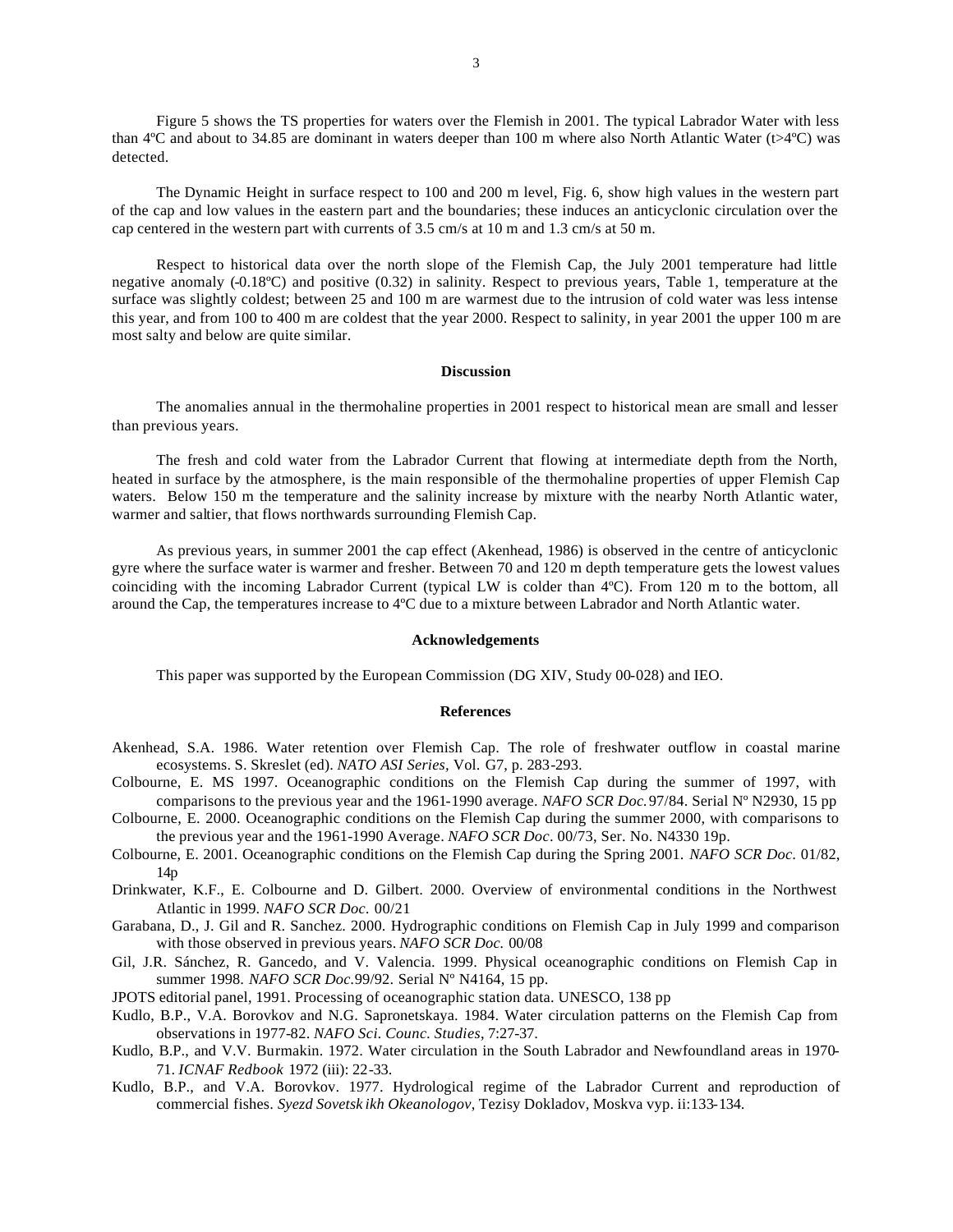Figure 5 shows the TS properties for waters over the Flemish in 2001. The typical Labrador Water with less than 4ºC and about to 34.85 are dominant in waters deeper than 100 m where also North Atlantic Water (t>4ºC) was detected.

The Dynamic Height in surface respect to 100 and 200 m level, Fig. 6, show high values in the western part of the cap and low values in the eastern part and the boundaries; these induces an anticyclonic circulation over the cap centered in the western part with currents of 3.5 cm/s at 10 m and 1.3 cm/s at 50 m.

Respect to historical data over the north slope of the Flemish Cap, the July 2001 temperature had little negative anomaly (-0.18ºC) and positive (0.32) in salinity. Respect to previous years, Table 1, temperature at the surface was slightly coldest; between 25 and 100 m are warmest due to the intrusion of cold water was less intense this year, and from 100 to 400 m are coldest that the year 2000. Respect to salinity, in year 2001 the upper 100 m are most salty and below are quite similar.

## **Discussion**

The anomalies annual in the thermohaline properties in 2001 respect to historical mean are small and lesser than previous years.

The fresh and cold water from the Labrador Current that flowing at intermediate depth from the North, heated in surface by the atmosphere, is the main responsible of the thermohaline properties of upper Flemish Cap waters. Below 150 m the temperature and the salinity increase by mixture with the nearby North Atlantic water, warmer and saltier, that flows northwards surrounding Flemish Cap.

As previous years, in summer 2001 the cap effect (Akenhead, 1986) is observed in the centre of anticyclonic gyre where the surface water is warmer and fresher. Between 70 and 120 m depth temperature gets the lowest values coinciding with the incoming Labrador Current (typical LW is colder than 4ºC). From 120 m to the bottom, all around the Cap, the temperatures increase to 4ºC due to a mixture between Labrador and North Atlantic water.

#### **Acknowledgements**

This paper was supported by the European Commission (DG XIV, Study 00-028) and IEO.

## **References**

- Akenhead, S.A. 1986. Water retention over Flemish Cap. The role of freshwater outflow in coastal marine ecosystems. S. Skreslet (ed). *NATO ASI Series,* Vol. G7, p. 283-293.
- Colbourne, E. MS 1997. Oceanographic conditions on the Flemish Cap during the summer of 1997, with comparisons to the previous year and the 1961-1990 average. *NAFO SCR Doc.*97/84. Serial Nº N2930, 15 pp
- Colbourne, E. 2000. Oceanographic conditions on the Flemish Cap during the summer 2000, with comparisons to the previous year and the 1961-1990 Average. *NAFO SCR Doc*. 00/73, Ser. No. N4330 19p.
- Colbourne, E. 2001. Oceanographic conditions on the Flemish Cap during the Spring 2001. *NAFO SCR Doc*. 01/82, 14p
- Drinkwater, K.F., E. Colbourne and D. Gilbert. 2000. Overview of environmental conditions in the Northwest Atlantic in 1999. *NAFO SCR Doc.* 00/21
- Garabana, D., J. Gil and R. Sanchez. 2000. Hydrographic conditions on Flemish Cap in July 1999 and comparison with those observed in previous years. *NAFO SCR Doc.* 00/08
- Gil, J.R. Sánchez, R. Gancedo, and V. Valencia. 1999. Physical oceanographic conditions on Flemish Cap in summer 1998. *NAFO SCR Doc.*99/92. Serial Nº N4164, 15 pp.
- JPOTS editorial panel, 1991. Processing of oceanographic station data. UNESCO, 138 pp
- Kudlo, B.P., V.A. Borovkov and N.G. Sapronetskaya. 1984. Water circulation patterns on the Flemish Cap from observations in 1977-82. *NAFO Sci. Counc. Studies*, 7:27-37.
- Kudlo, B.P., and V.V. Burmakin. 1972. Water circulation in the South Labrador and Newfoundland areas in 1970- 71. *ICNAF Redbook* 1972 (iii): 22-33.
- Kudlo, B.P., and V.A. Borovkov. 1977. Hydrological regime of the Labrador Current and reproduction of commercial fishes. *Syezd Sovetsk ikh Okeanologov*, Tezisy Dokladov, Moskva vyp. ii:133-134.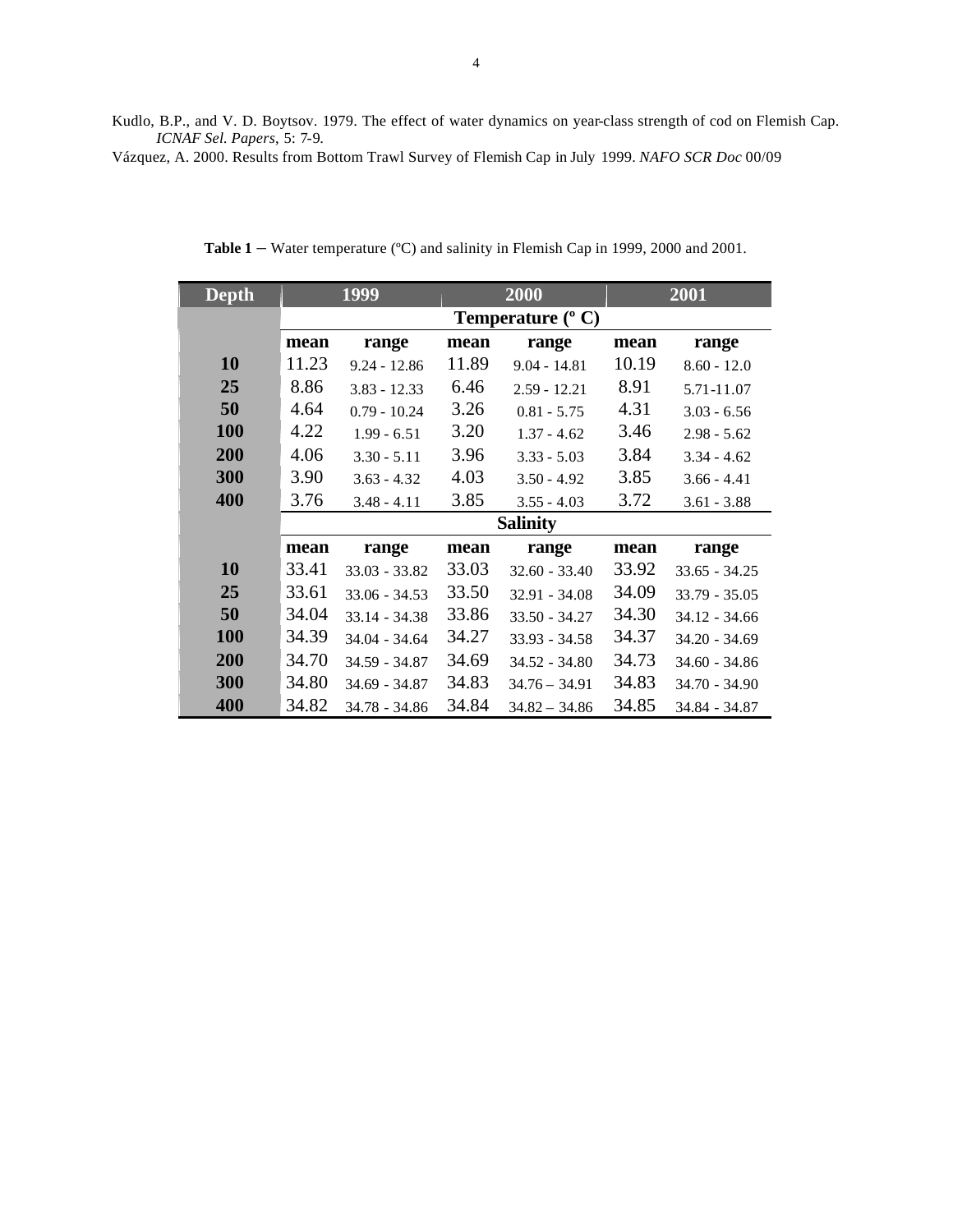Kudlo, B.P., and V. D. Boytsov. 1979. The effect of water dynamics on year-class strength of cod on Flemish Cap. *ICNAF Sel. Papers*, 5: 7-9.

Vázquez, A. 2000. Results from Bottom Trawl Survey of Flemish Cap in July 1999. *NAFO SCR Doc* 00/09

| <b>Depth</b> | 1999                       |                 | 2000  |                 | 2001  |                 |
|--------------|----------------------------|-----------------|-------|-----------------|-------|-----------------|
|              | Temperature $(^{\circ}$ C) |                 |       |                 |       |                 |
|              | mean                       | range           | mean  | range           | mean  | range           |
| 10           | 11.23                      | $9.24 - 12.86$  | 11.89 | $9.04 - 14.81$  | 10.19 | $8.60 - 12.0$   |
| 25           | 8.86                       | $3.83 - 12.33$  | 6.46  | $2.59 - 12.21$  | 8.91  | 5.71-11.07      |
| 50           | 4.64                       | $0.79 - 10.24$  | 3.26  | $0.81 - 5.75$   | 4.31  | $3.03 - 6.56$   |
| 100          | 4.22                       | $1.99 - 6.51$   | 3.20  | $1.37 - 4.62$   | 3.46  | $2.98 - 5.62$   |
| 200          | 4.06                       | $3.30 - 5.11$   | 3.96  | $3.33 - 5.03$   | 3.84  | $3.34 - 4.62$   |
| 300          | 3.90                       | $3.63 - 4.32$   | 4.03  | $3.50 - 4.92$   | 3.85  | $3.66 - 4.41$   |
| 400          | 3.76                       | $3.48 - 4.11$   | 3.85  | $3.55 - 4.03$   | 3.72  | $3.61 - 3.88$   |
|              | <b>Salinity</b>            |                 |       |                 |       |                 |
|              | mean                       | range           | mean  | range           | mean  | range           |
| 10           | 33.41                      | $33.03 - 33.82$ | 33.03 | $32.60 - 33.40$ | 33.92 | $33.65 - 34.25$ |
| 25           | 33.61                      | $33.06 - 34.53$ | 33.50 | $32.91 - 34.08$ | 34.09 | $33.79 - 35.05$ |
| 50           | 34.04                      | $33.14 - 34.38$ | 33.86 | $33.50 - 34.27$ | 34.30 | $34.12 - 34.66$ |
| <b>100</b>   | 34.39                      | $34.04 - 34.64$ | 34.27 | $33.93 - 34.58$ | 34.37 | $34.20 - 34.69$ |
| 200          | 34.70                      | $34.59 - 34.87$ | 34.69 | $34.52 - 34.80$ | 34.73 | $34.60 - 34.86$ |
| 300          | 34.80                      | 34.69 - 34.87   | 34.83 | $34.76 - 34.91$ | 34.83 | $34.70 - 34.90$ |
| 400          | 34.82                      | 34.78 - 34.86   | 34.84 | $34.82 - 34.86$ | 34.85 | 34.84 - 34.87   |

Table 1 – Water temperature (°C) and salinity in Flemish Cap in 1999, 2000 and 2001.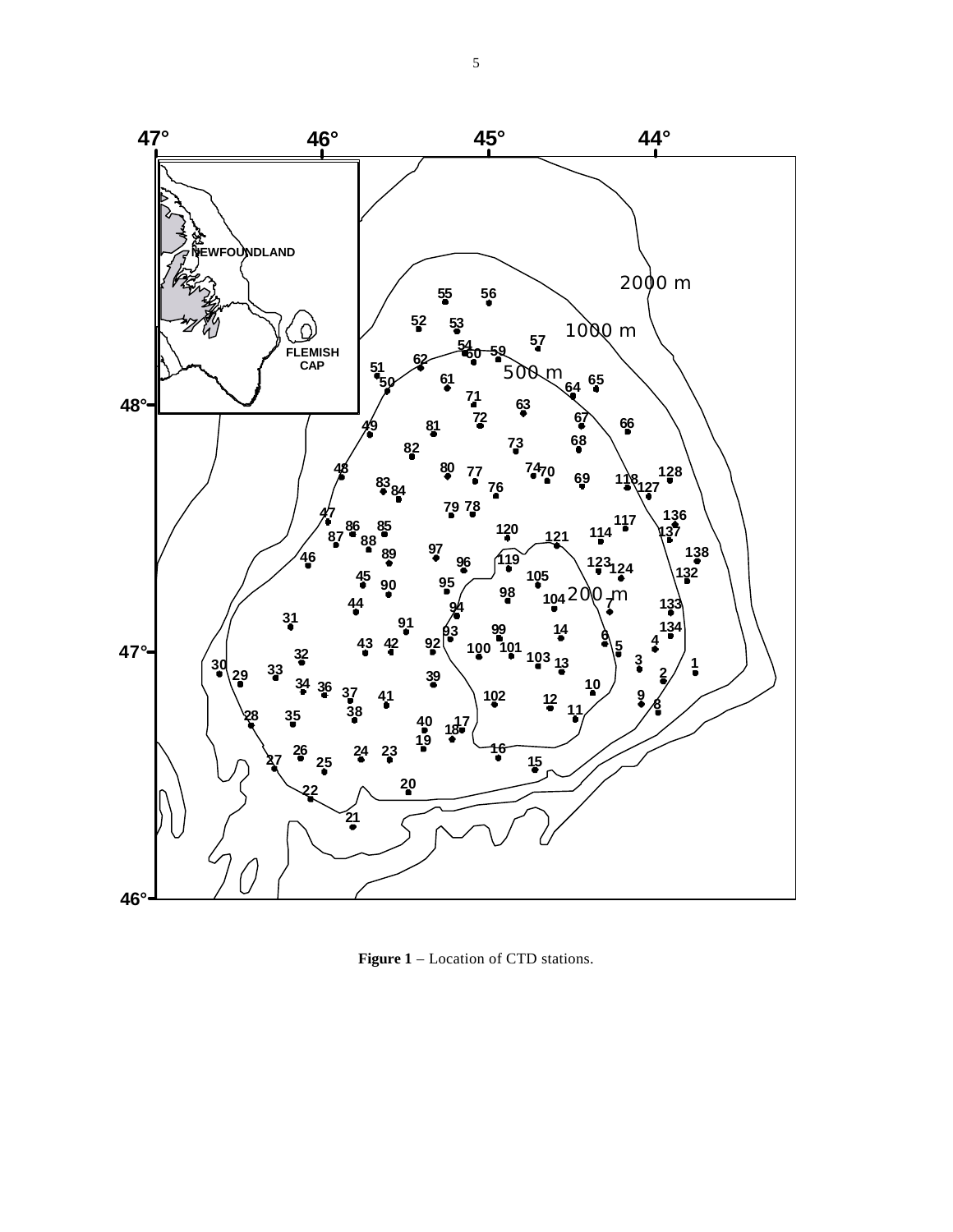

**Figure 1** – Location of CTD stations.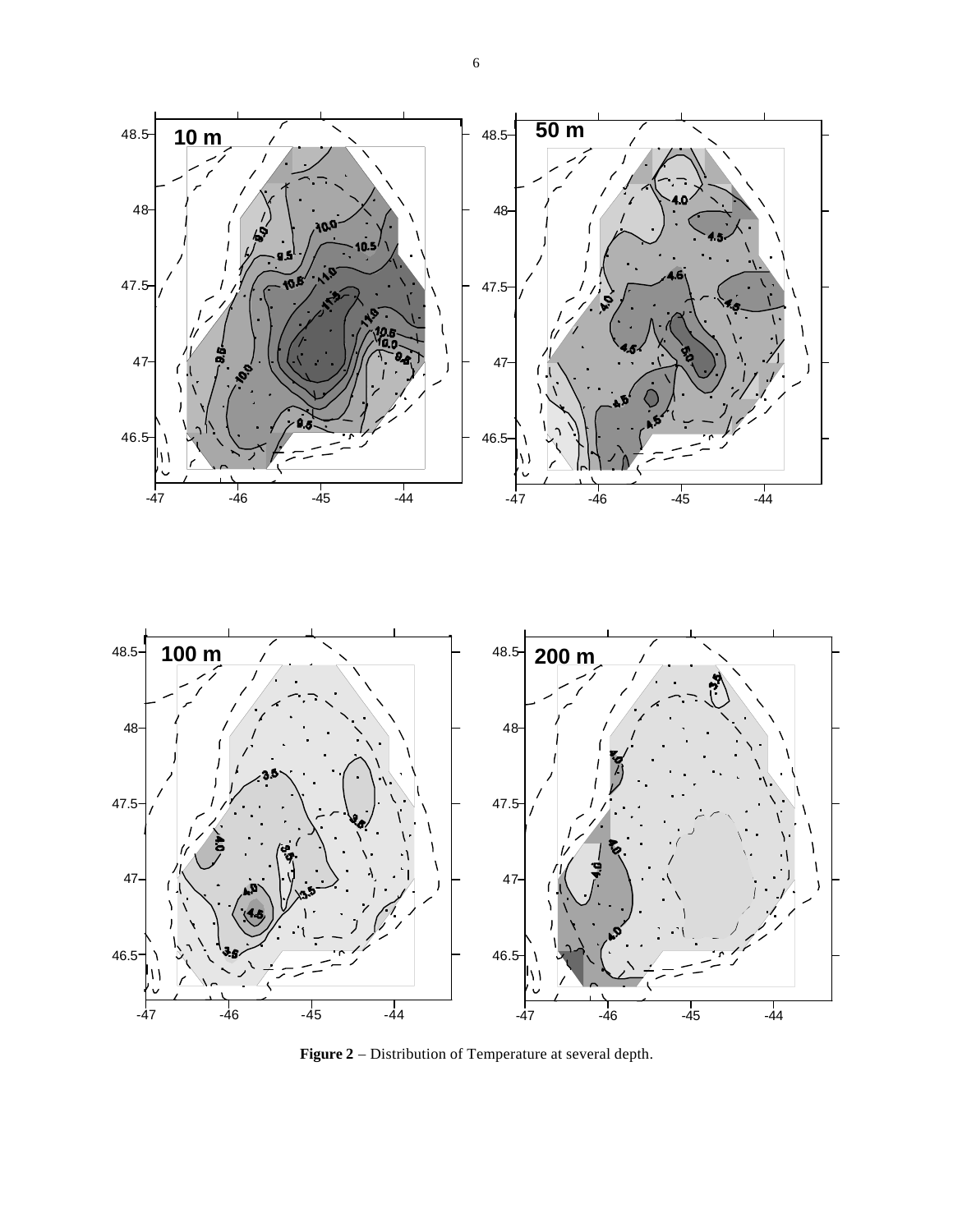

**Figure 2** – Distribution of Temperature at several depth.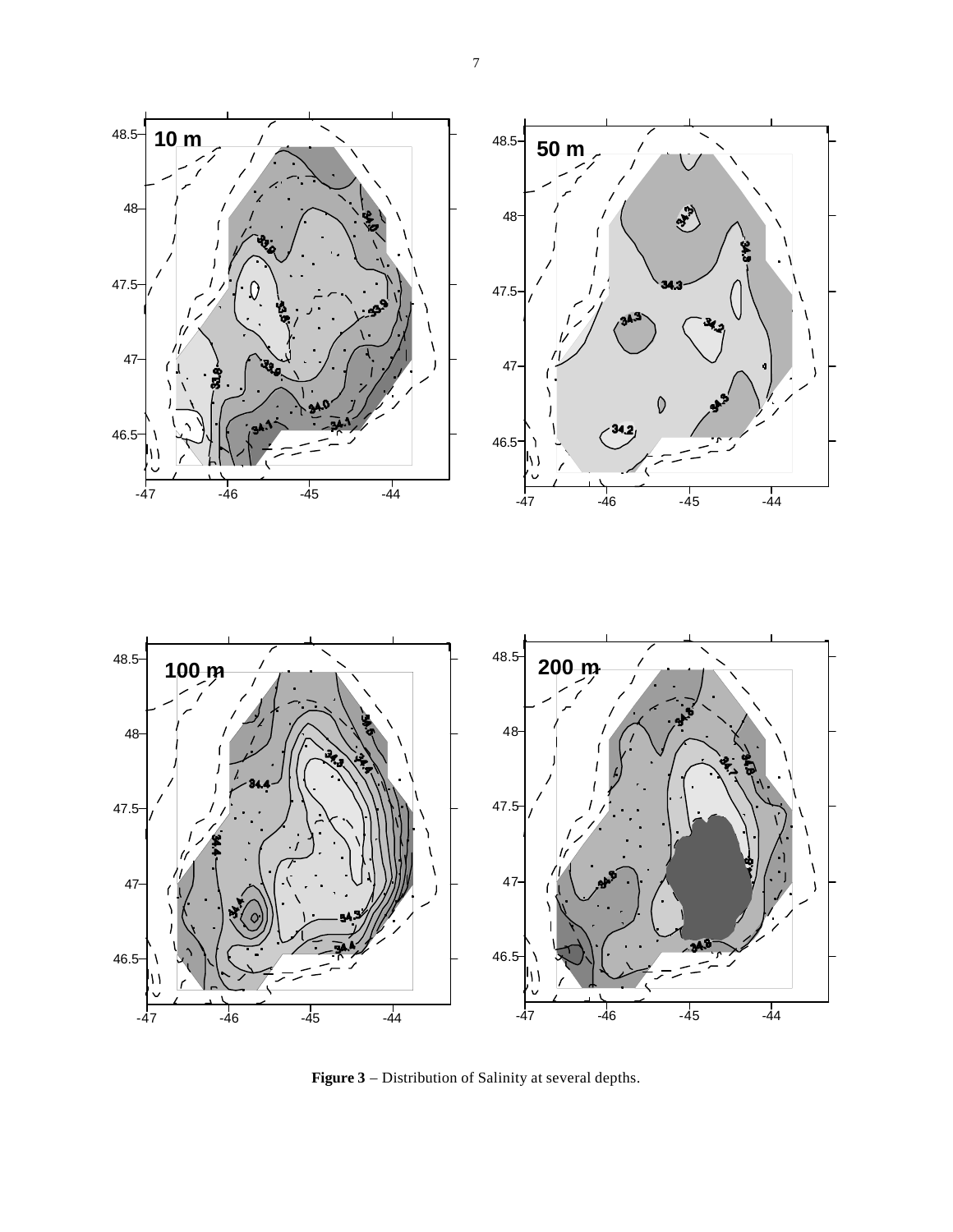



**Figure 3** – Distribution of Salinity at several depths.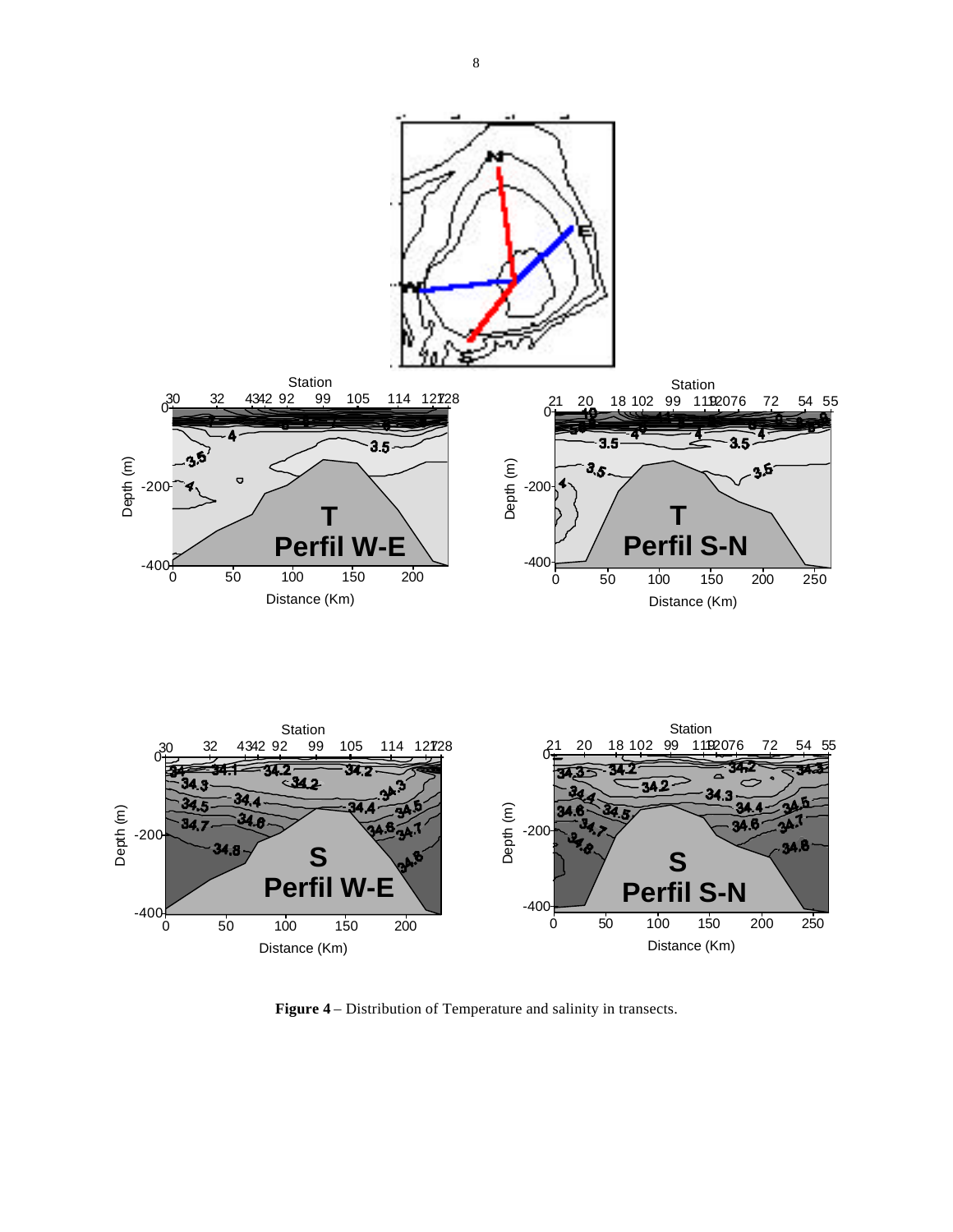

**Figure 4** – Distribution of Temperature and salinity in transects.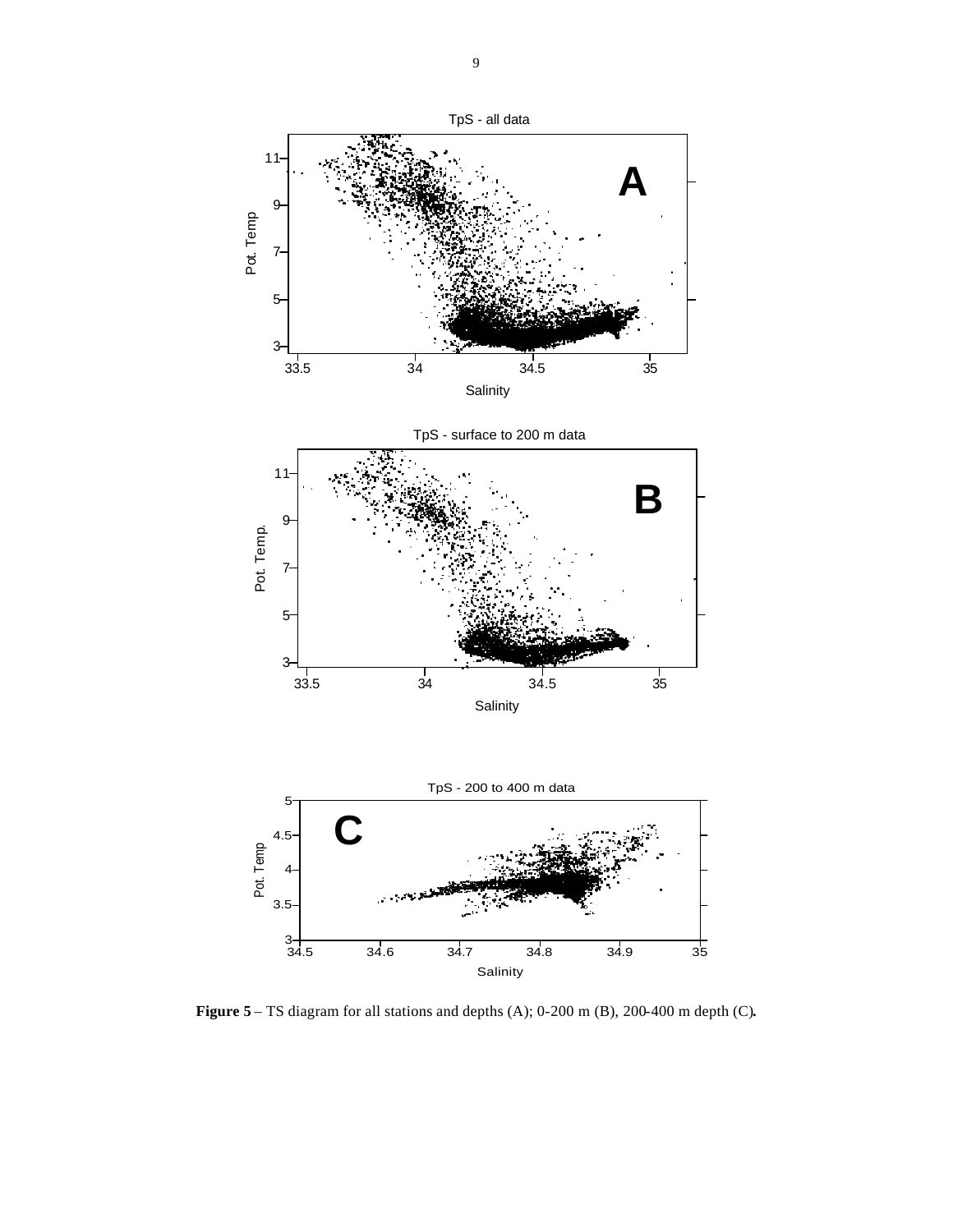

**Figure 5** – TS diagram for all stations and depths (A); 0-200 m (B), 200-400 m depth (C)**.**